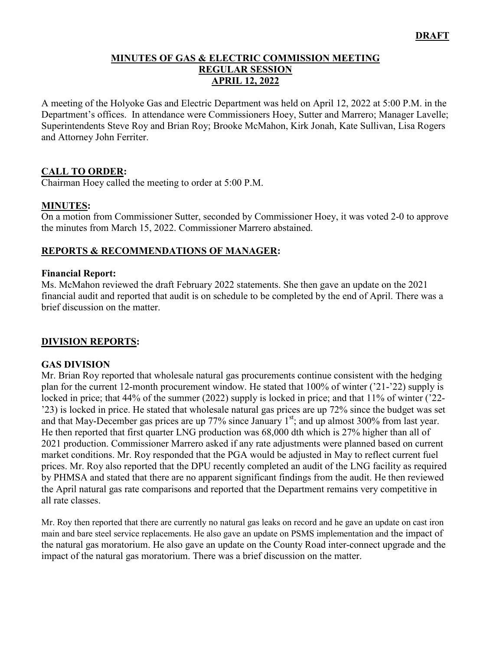### **MINUTES OF GAS & ELECTRIC COMMISSION MEETING REGULAR SESSION APRIL 12, 2022**

A meeting of the Holyoke Gas and Electric Department was held on April 12, 2022 at 5:00 P.M. in the Department's offices. In attendance were Commissioners Hoey, Sutter and Marrero; Manager Lavelle; Superintendents Steve Roy and Brian Roy; Brooke McMahon, Kirk Jonah, Kate Sullivan, Lisa Rogers and Attorney John Ferriter.

## **CALL TO ORDER:**

Chairman Hoey called the meeting to order at 5:00 P.M.

### **MINUTES:**

On a motion from Commissioner Sutter, seconded by Commissioner Hoey, it was voted 2-0 to approve the minutes from March 15, 2022. Commissioner Marrero abstained.

## **REPORTS & RECOMMENDATIONS OF MANAGER:**

#### **Financial Report:**

Ms. McMahon reviewed the draft February 2022 statements. She then gave an update on the 2021 financial audit and reported that audit is on schedule to be completed by the end of April. There was a brief discussion on the matter.

### **DIVISION REPORTS:**

### **GAS DIVISION**

Mr. Brian Roy reported that wholesale natural gas procurements continue consistent with the hedging plan for the current 12-month procurement window. He stated that 100% of winter ('21-'22) supply is locked in price; that 44% of the summer (2022) supply is locked in price; and that 11% of winter ('22- '23) is locked in price. He stated that wholesale natural gas prices are up 72% since the budget was set and that May-December gas prices are up  $77\%$  since January  $1<sup>st</sup>$ ; and up almost 300% from last year. He then reported that first quarter LNG production was 68,000 dth which is 27% higher than all of 2021 production. Commissioner Marrero asked if any rate adjustments were planned based on current market conditions. Mr. Roy responded that the PGA would be adjusted in May to reflect current fuel prices. Mr. Roy also reported that the DPU recently completed an audit of the LNG facility as required by PHMSA and stated that there are no apparent significant findings from the audit. He then reviewed the April natural gas rate comparisons and reported that the Department remains very competitive in all rate classes.

Mr. Roy then reported that there are currently no natural gas leaks on record and he gave an update on cast iron main and bare steel service replacements. He also gave an update on PSMS implementation and the impact of the natural gas moratorium. He also gave an update on the County Road inter-connect upgrade and the impact of the natural gas moratorium. There was a brief discussion on the matter.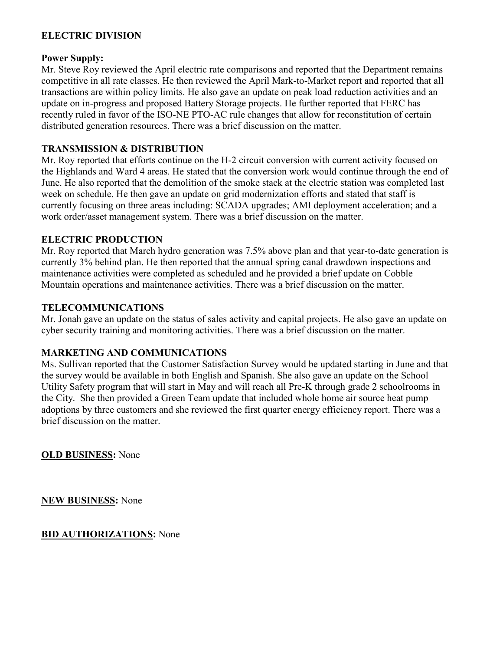### **ELECTRIC DIVISION**

#### **Power Supply:**

Mr. Steve Roy reviewed the April electric rate comparisons and reported that the Department remains competitive in all rate classes. He then reviewed the April Mark-to-Market report and reported that all transactions are within policy limits. He also gave an update on peak load reduction activities and an update on in-progress and proposed Battery Storage projects. He further reported that FERC has recently ruled in favor of the ISO-NE PTO-AC rule changes that allow for reconstitution of certain distributed generation resources. There was a brief discussion on the matter.

## **TRANSMISSION & DISTRIBUTION**

Mr. Roy reported that efforts continue on the H-2 circuit conversion with current activity focused on the Highlands and Ward 4 areas. He stated that the conversion work would continue through the end of June. He also reported that the demolition of the smoke stack at the electric station was completed last week on schedule. He then gave an update on grid modernization efforts and stated that staff is currently focusing on three areas including: SCADA upgrades; AMI deployment acceleration; and a work order/asset management system. There was a brief discussion on the matter.

## **ELECTRIC PRODUCTION**

Mr. Roy reported that March hydro generation was 7.5% above plan and that year-to-date generation is currently 3% behind plan. He then reported that the annual spring canal drawdown inspections and maintenance activities were completed as scheduled and he provided a brief update on Cobble Mountain operations and maintenance activities. There was a brief discussion on the matter.

## **TELECOMMUNICATIONS**

Mr. Jonah gave an update on the status of sales activity and capital projects. He also gave an update on cyber security training and monitoring activities. There was a brief discussion on the matter.

### **MARKETING AND COMMUNICATIONS**

Ms. Sullivan reported that the Customer Satisfaction Survey would be updated starting in June and that the survey would be available in both English and Spanish. She also gave an update on the School Utility Safety program that will start in May and will reach all Pre-K through grade 2 schoolrooms in the City. She then provided a Green Team update that included whole home air source heat pump adoptions by three customers and she reviewed the first quarter energy efficiency report. There was a brief discussion on the matter.

**OLD BUSINESS:** None

**NEW BUSINESS:** None

**BID AUTHORIZATIONS:** None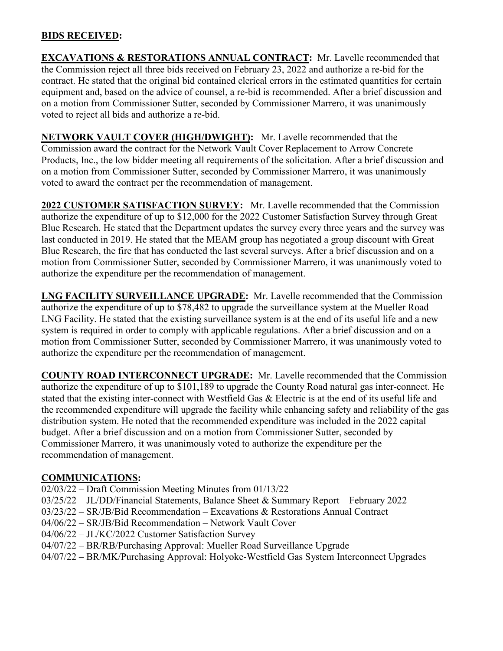### **BIDS RECEIVED:**

**EXCAVATIONS & RESTORATIONS ANNUAL CONTRACT:** Mr. Lavelle recommended that the Commission reject all three bids received on February 23, 2022 and authorize a re-bid for the contract. He stated that the original bid contained clerical errors in the estimated quantities for certain equipment and, based on the advice of counsel, a re-bid is recommended. After a brief discussion and on a motion from Commissioner Sutter, seconded by Commissioner Marrero, it was unanimously voted to reject all bids and authorize a re-bid.

**NETWORK VAULT COVER (HIGH/DWIGHT):** Mr. Lavelle recommended that the Commission award the contract for the Network Vault Cover Replacement to Arrow Concrete Products, Inc., the low bidder meeting all requirements of the solicitation. After a brief discussion and on a motion from Commissioner Sutter, seconded by Commissioner Marrero, it was unanimously voted to award the contract per the recommendation of management.

**2022 CUSTOMER SATISFACTION SURVEY:** Mr. Lavelle recommended that the Commission authorize the expenditure of up to \$12,000 for the 2022 Customer Satisfaction Survey through Great Blue Research. He stated that the Department updates the survey every three years and the survey was last conducted in 2019. He stated that the MEAM group has negotiated a group discount with Great Blue Research, the fire that has conducted the last several surveys. After a brief discussion and on a motion from Commissioner Sutter, seconded by Commissioner Marrero, it was unanimously voted to authorize the expenditure per the recommendation of management.

**LNG FACILITY SURVEILLANCE UPGRADE:** Mr. Lavelle recommended that the Commission authorize the expenditure of up to \$78,482 to upgrade the surveillance system at the Mueller Road LNG Facility. He stated that the existing surveillance system is at the end of its useful life and a new system is required in order to comply with applicable regulations. After a brief discussion and on a motion from Commissioner Sutter, seconded by Commissioner Marrero, it was unanimously voted to authorize the expenditure per the recommendation of management.

**COUNTY ROAD INTERCONNECT UPGRADE:** Mr. Lavelle recommended that the Commission authorize the expenditure of up to \$101,189 to upgrade the County Road natural gas inter-connect. He stated that the existing inter-connect with Westfield Gas & Electric is at the end of its useful life and the recommended expenditure will upgrade the facility while enhancing safety and reliability of the gas distribution system. He noted that the recommended expenditure was included in the 2022 capital budget. After a brief discussion and on a motion from Commissioner Sutter, seconded by Commissioner Marrero, it was unanimously voted to authorize the expenditure per the recommendation of management.

# **COMMUNICATIONS:**

- 02/03/22 Draft Commission Meeting Minutes from 01/13/22
- 03/25/22 JL/DD/Financial Statements, Balance Sheet & Summary Report February 2022
- 03/23/22 SR/JB/Bid Recommendation Excavations & Restorations Annual Contract
- 04/06/22 SR/JB/Bid Recommendation Network Vault Cover
- 04/06/22 JL/KC/2022 Customer Satisfaction Survey
- 04/07/22 BR/RB/Purchasing Approval: Mueller Road Surveillance Upgrade
- 04/07/22 BR/MK/Purchasing Approval: Holyoke-Westfield Gas System Interconnect Upgrades